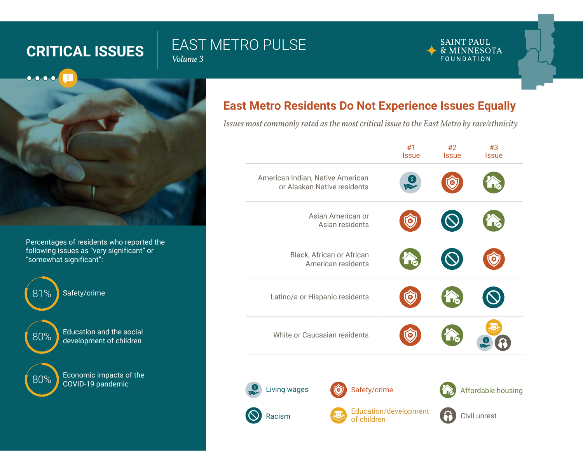# **CRITICAL ISSUES EAST METRO PULSE**

*Volume 3*

#### **SAINT PAUL** & MINNESOTA FOUNDATION



Percentages of residents who reported the following issues as "very significant" or "somewhat significant":



# **East Metro Residents Do Not Experience Issues Equally**

*Issues most commonly rated as the most critical issue to the East Metro by race/ethnicity*

|                                                                 | #1<br><b>Issue</b> | #2<br><b>Issue</b> | #3<br><b>Issue</b> |
|-----------------------------------------------------------------|--------------------|--------------------|--------------------|
| American Indian, Native American<br>or Alaskan Native residents | \$                 |                    |                    |
| Asian American or<br>Asian residents                            |                    |                    |                    |
| Black, African or African<br>American residents                 |                    |                    |                    |
| Latino/a or Hispanic residents                                  |                    | $\blacksquare$     |                    |
| White or Caucasian residents                                    |                    |                    | (\$                |
|                                                                 |                    |                    |                    |

Racism Living wages **Safety/crime** 





Education/development Education/development Civil unrest<br>of children